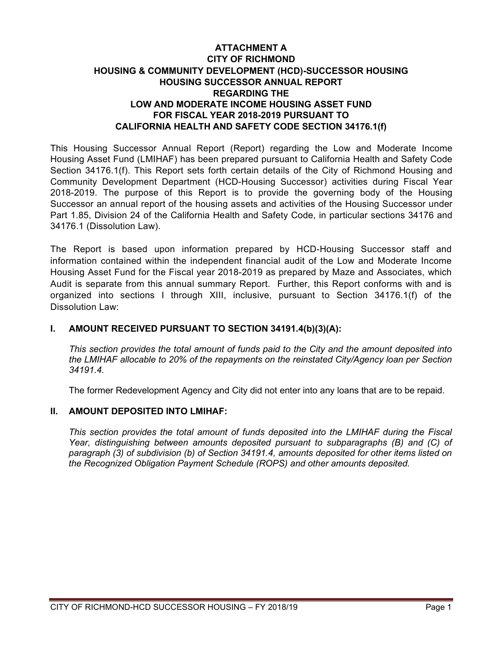# **ATTACHMENT A CITY OF RICHMOND HOUSING & COMMUNITY DEVELOPMENT (HCD)-SUCCESSOR HOUSING HOUSING SUCCESSOR ANNUAL REPORT REGARDING THE LOW AND MODERATE INCOME HOUSING ASSET FUND FOR FISCAL YEAR 2018-2019 PURSUANT TO CALIFORNIA HEALTH AND SAFETY CODE SECTION 34176.1(f)**

This Housing Successor Annual Report (Report) regarding the Low and Moderate Income Housing Asset Fund (LMIHAF) has been prepared pursuant to California Health and Safety Code Section 34176.1(f). This Report sets forth certain details of the City of Richmond Housing and Community Development Department (HCD-Housing Successor) activities during Fiscal Year 2018-2019. The purpose of this Report is to provide the governing body of the Housing Successor an annual report of the housing assets and activities of the Housing Successor under Part 1.85, Division 24 of the California Health and Safety Code, in particular sections 34176 and 34176.1 (Dissolution Law).

The Report is based upon information prepared by HCD-Housing Successor staff and information contained within the independent financial audit of the Low and Moderate Income Housing Asset Fund for the Fiscal year 2018-2019 as prepared by Maze and Associates, which Audit is separate from this annual summary Report. Further, this Report conforms with and is organized into sections I through XIII, inclusive, pursuant to Section 34176.1(f) of the Dissolution Law:

## **I. AMOUNT RECEIVED PURSUANT TO SECTION 34191.4(b)(3)(A):**

*This section provides the total amount of funds paid to the City and the amount deposited into the LMIHAF allocable to 20% of the repayments on the reinstated City/Agency loan per Section 34191.4.*

The former Redevelopment Agency and City did not enter into any loans that are to be repaid.

## **II. AMOUNT DEPOSITED INTO LMIHAF:**

*This section provides the total amount of funds deposited into the LMIHAF during the Fiscal Year, distinguishing between amounts deposited pursuant to subparagraphs (B) and (C) of paragraph (3) of subdivision (b) of Section 34191.4, amounts deposited for other items listed on the Recognized Obligation Payment Schedule (ROPS) and other amounts deposited.*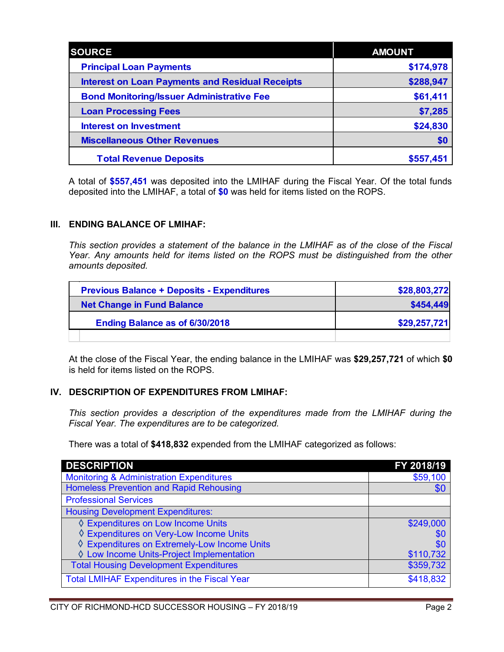| <b>SOURCE</b>                                          | <b>AMOUNT</b> |
|--------------------------------------------------------|---------------|
| <b>Principal Loan Payments</b>                         | \$174,978     |
| <b>Interest on Loan Payments and Residual Receipts</b> | \$288,947     |
| <b>Bond Monitoring/Issuer Administrative Fee</b>       | \$61,411      |
| <b>Loan Processing Fees</b>                            | \$7,285       |
| <b>Interest on Investment</b>                          | \$24,830      |
| <b>Miscellaneous Other Revenues</b>                    | \$0           |
| <b>Total Revenue Deposits</b>                          | \$557,451     |

A total of **\$557,451** was deposited into the LMIHAF during the Fiscal Year. Of the total funds deposited into the LMIHAF, a total of **\$0** was held for items listed on the ROPS.

## **III. ENDING BALANCE OF LMIHAF:**

*This section provides a statement of the balance in the LMIHAF as of the close of the Fiscal Year. Any amounts held for items listed on the ROPS must be distinguished from the other amounts deposited.*

| <b>Previous Balance + Deposits - Expenditures</b> | \$28,803,272 |
|---------------------------------------------------|--------------|
| <b>Net Change in Fund Balance</b>                 | \$454,449    |
| Ending Balance as of 6/30/2018                    | \$29,257,721 |
|                                                   |              |

At the close of the Fiscal Year, the ending balance in the LMIHAF was **\$29,257,721** of which **\$0** is held for items listed on the ROPS.

## **IV. DESCRIPTION OF EXPENDITURES FROM LMIHAF:**

*This section provides a description of the expenditures made from the LMIHAF during the Fiscal Year. The expenditures are to be categorized.*

There was a total of **\$418,832** expended from the LMIHAF categorized as follows:

| <b>DESCRIPTION</b>                                  | FY 2018/19 |
|-----------------------------------------------------|------------|
| <b>Monitoring &amp; Administration Expenditures</b> | \$59,100   |
| <b>Homeless Prevention and Rapid Rehousing</b>      | \$0        |
| <b>Professional Services</b>                        |            |
| <b>Housing Development Expenditures:</b>            |            |
| ♦ Expenditures on Low Income Units                  | \$249,000  |
| ♦ Expenditures on Very-Low Income Units             | \$C        |
| ♦ Expenditures on Extremely-Low Income Units        | \$0        |
| ♦ Low Income Units-Project Implementation           | \$110,732  |
| <b>Total Housing Development Expenditures</b>       | \$359,732  |
| <b>Total LMIHAF Expenditures in the Fiscal Year</b> | \$418,832  |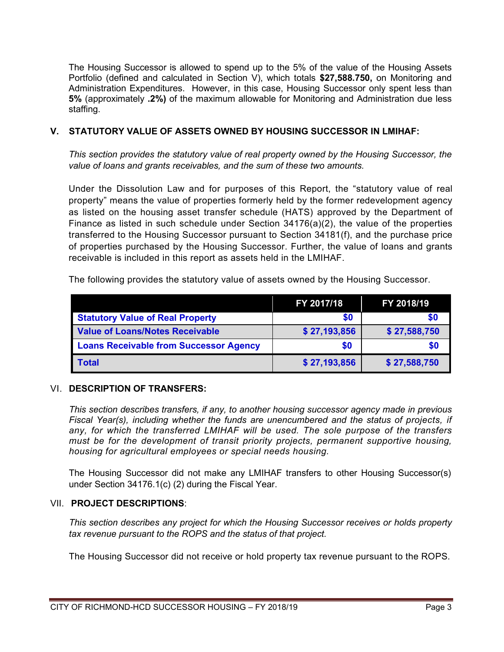The Housing Successor is allowed to spend up to the 5% of the value of the Housing Assets Portfolio (defined and calculated in Section V), which totals **\$27,588.750,** on Monitoring and Administration Expenditures. However, in this case, Housing Successor only spent less than **5%** (approximately **.2%)** of the maximum allowable for Monitoring and Administration due less staffing.

## **V. STATUTORY VALUE OF ASSETS OWNED BY HOUSING SUCCESSOR IN LMIHAF:**

*This section provides the statutory value of real property owned by the Housing Successor, the value of loans and grants receivables, and the sum of these two amounts.*

Under the Dissolution Law and for purposes of this Report, the "statutory value of real property" means the value of properties formerly held by the former redevelopment agency as listed on the housing asset transfer schedule (HATS) approved by the Department of Finance as listed in such schedule under Section  $34176(a)(2)$ , the value of the properties transferred to the Housing Successor pursuant to Section 34181(f), and the purchase price of properties purchased by the Housing Successor. Further, the value of loans and grants receivable is included in this report as assets held in the LMIHAF.

The following provides the statutory value of assets owned by the Housing Successor.

|                                               | FY 2017/18   | FY 2018/19   |
|-----------------------------------------------|--------------|--------------|
| <b>Statutory Value of Real Property</b>       | \$0          | \$0          |
| <b>Value of Loans/Notes Receivable</b>        | \$27,193,856 | \$27,588,750 |
| <b>Loans Receivable from Successor Agency</b> | \$0          | SO.          |
| <b>Total</b>                                  | \$27,193,856 | \$27,588,750 |

## VI. **DESCRIPTION OF TRANSFERS:**

*This section describes transfers, if any, to another housing successor agency made in previous Fiscal Year(s), including whether the funds are unencumbered and the status of projects, if any, for which the transferred LMIHAF will be used. The sole purpose of the transfers must be for the development of transit priority projects, permanent supportive housing, housing for agricultural employees or special needs housing.*

The Housing Successor did not make any LMIHAF transfers to other Housing Successor(s) under Section 34176.1(c) (2) during the Fiscal Year.

## VII. **PROJECT DESCRIPTIONS**:

*This section describes any project for which the Housing Successor receives or holds property tax revenue pursuant to the ROPS and the status of that project.*

The Housing Successor did not receive or hold property tax revenue pursuant to the ROPS.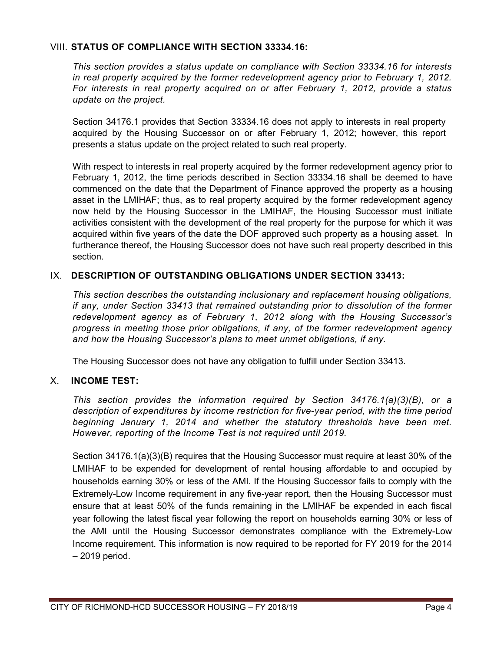## VIII. **STATUS OF COMPLIANCE WITH SECTION 33334.16:**

*This section provides a status update on compliance with Section 33334.16 for interests in real property acquired by the former redevelopment agency prior to February 1, 2012. For interests in real property acquired on or after February 1, 2012, provide a status update on the project.*

Section 34176.1 provides that Section 33334.16 does not apply to interests in real property acquired by the Housing Successor on or after February 1, 2012; however, this report presents a status update on the project related to such real property.

With respect to interests in real property acquired by the former redevelopment agency prior to February 1, 2012, the time periods described in Section 33334.16 shall be deemed to have commenced on the date that the Department of Finance approved the property as a housing asset in the LMIHAF; thus, as to real property acquired by the former redevelopment agency now held by the Housing Successor in the LMIHAF, the Housing Successor must initiate activities consistent with the development of the real property for the purpose for which it was acquired within five years of the date the DOF approved such property as a housing asset. In furtherance thereof, the Housing Successor does not have such real property described in this section.

## IX. **DESCRIPTION OF OUTSTANDING OBLIGATIONS UNDER SECTION 33413:**

*This section describes the outstanding inclusionary and replacement housing obligations, if any, under Section 33413 that remained outstanding prior to dissolution of the former redevelopment agency as of February 1, 2012 along with the Housing Successor's progress in meeting those prior obligations, if any, of the former redevelopment agency and how the Housing Successor's plans to meet unmet obligations, if any.*

The Housing Successor does not have any obligation to fulfill under Section 33413.

## X. **INCOME TEST:**

*This section provides the information required by Section 34176.1(a)(3)(B), or a description of expenditures by income restriction for five-year period, with the time period beginning January 1, 2014 and whether the statutory thresholds have been met. However, reporting of the Income Test is not required until 2019.*

Section 34176.1(a)(3)(B) requires that the Housing Successor must require at least 30% of the LMIHAF to be expended for development of rental housing affordable to and occupied by households earning 30% or less of the AMI. If the Housing Successor fails to comply with the Extremely-Low Income requirement in any five-year report, then the Housing Successor must ensure that at least 50% of the funds remaining in the LMIHAF be expended in each fiscal year following the latest fiscal year following the report on households earning 30% or less of the AMI until the Housing Successor demonstrates compliance with the Extremely-Low Income requirement. This information is now required to be reported for FY 2019 for the 2014 – 2019 period.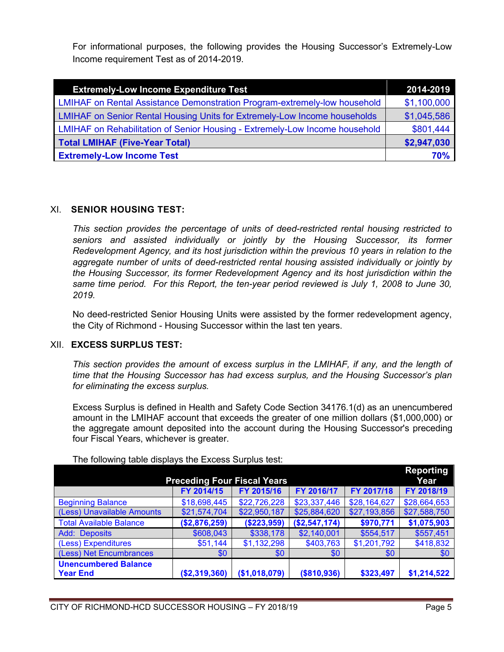For informational purposes, the following provides the Housing Successor's Extremely-Low Income requirement Test as of 2014-2019.

| <b>Extremely-Low Income Expenditure Test</b>                                     | 2014-2019   |
|----------------------------------------------------------------------------------|-------------|
| <b>LMIHAF on Rental Assistance Demonstration Program-extremely-low household</b> | \$1,100,000 |
| <b>LMIHAF on Senior Rental Housing Units for Extremely-Low Income households</b> | \$1,045,586 |
| LMIHAF on Rehabilitation of Senior Housing - Extremely-Low Income household      | \$801,444   |
| <b>Total LMIHAF (Five-Year Total)</b>                                            | \$2,947,030 |
| <b>Extremely-Low Income Test</b>                                                 | 70%         |

## XI. **SENIOR HOUSING TEST:**

*This section provides the percentage of units of deed-restricted rental housing restricted to seniors and assisted individually or jointly by the Housing Successor, its former Redevelopment Agency, and its host jurisdiction within the previous 10 years in relation to the aggregate number of units of deed-restricted rental housing assisted individually or jointly by the Housing Successor, its former Redevelopment Agency and its host jurisdiction within the same time period. For this Report, the ten-year period reviewed is July 1, 2008 to June 30, 2019.*

No deed-restricted Senior Housing Units were assisted by the former redevelopment agency, the City of Richmond - Housing Successor within the last ten years.

## XII. **EXCESS SURPLUS TEST:**

*This section provides the amount of excess surplus in the LMIHAF, if any, and the length of time that the Housing Successor has had excess surplus, and the Housing Successor's plan for eliminating the excess surplus.*

Excess Surplus is defined in Health and Safety Code Section 34176.1(d) as an unencumbered amount in the LMIHAF account that exceeds the greater of one million dollars (\$1,000,000) or the aggregate amount deposited into the account during the Housing Successor's preceding four Fiscal Years, whichever is greater.

| <b>Preceding Four Fiscal Years</b> |               |               |               | Reporting<br>Year |              |
|------------------------------------|---------------|---------------|---------------|-------------------|--------------|
|                                    | FY 2014/15    | FY 2015/16    | FY 2016/17    | FY 2017/18        | FY 2018/19   |
| <b>Beginning Balance</b>           | \$18,698,445  | \$22,726,228  | \$23,337,446  | \$28,164,627      | \$28,664,653 |
| (Less) Unavailable Amounts         | \$21,574,704  | \$22,950,187  | \$25,884,620  | \$27,193,856      | \$27,588,750 |
| <b>Total Available Balance</b>     | (\$2,876,259) | (\$223,959)   | (\$2,547,174) | \$970,771         | \$1,075,903  |
| <b>Add: Deposits</b>               | \$608,043     | \$338,178     | \$2,140,001   | \$554,517         | \$557,451    |
| (Less) Expenditures                | \$51,144      | \$1,132,298   | \$403,763     | \$1,201,792       | \$418,832    |
| (Less) Net Encumbrances            | \$0           | \$0           | \$0           | \$0               | \$0          |
| <b>Unencumbered Balance</b>        |               |               |               |                   |              |
| <b>Year End</b>                    | (\$2,319,360) | (\$1,018,079) | (\$810,936)   | \$323,497         | \$1,214,522  |

The following table displays the Excess Surplus test: